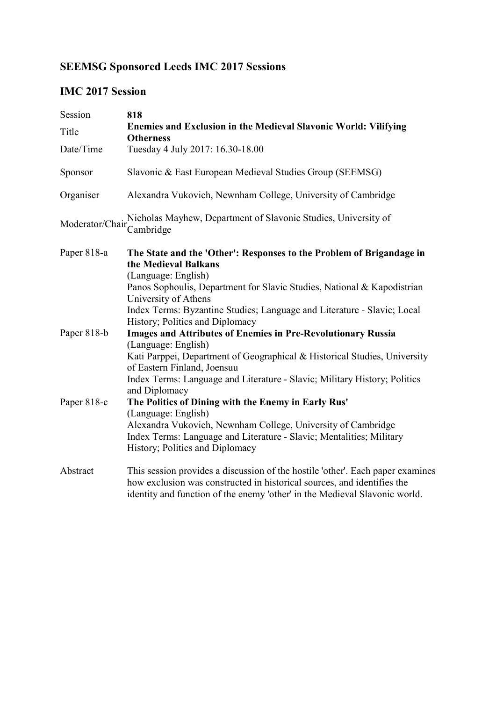## SEEMSG Sponsored Leeds IMC 2017 Sessions

## IMC 2017 Session

| Session                                     | 818                                                                                                                                                                                                                                     |
|---------------------------------------------|-----------------------------------------------------------------------------------------------------------------------------------------------------------------------------------------------------------------------------------------|
| Title                                       | <b>Enemies and Exclusion in the Medieval Slavonic World: Vilifying</b><br><b>Otherness</b>                                                                                                                                              |
| Date/Time                                   | Tuesday 4 July 2017: 16.30-18.00                                                                                                                                                                                                        |
| Sponsor                                     | Slavonic & East European Medieval Studies Group (SEEMSG)                                                                                                                                                                                |
| Organiser                                   | Alexandra Vukovich, Newnham College, University of Cambridge                                                                                                                                                                            |
| Moderator/Chair <sup>++++++</sup> Cambridge | Nicholas Mayhew, Department of Slavonic Studies, University of                                                                                                                                                                          |
| Paper 818-a                                 | The State and the 'Other': Responses to the Problem of Brigandage in<br>the Medieval Balkans<br>(Language: English)                                                                                                                     |
|                                             | Panos Sophoulis, Department for Slavic Studies, National & Kapodistrian<br>University of Athens                                                                                                                                         |
|                                             | Index Terms: Byzantine Studies; Language and Literature - Slavic; Local<br>History; Politics and Diplomacy                                                                                                                              |
| Paper 818-b                                 | <b>Images and Attributes of Enemies in Pre-Revolutionary Russia</b><br>(Language: English)                                                                                                                                              |
|                                             | Kati Parppei, Department of Geographical & Historical Studies, University<br>of Eastern Finland, Joensuu                                                                                                                                |
|                                             | Index Terms: Language and Literature - Slavic; Military History; Politics<br>and Diplomacy                                                                                                                                              |
| Paper 818-c                                 | The Politics of Dining with the Enemy in Early Rus'<br>(Language: English)                                                                                                                                                              |
|                                             | Alexandra Vukovich, Newnham College, University of Cambridge<br>Index Terms: Language and Literature - Slavic; Mentalities; Military<br>History; Politics and Diplomacy                                                                 |
| Abstract                                    | This session provides a discussion of the hostile 'other'. Each paper examines<br>how exclusion was constructed in historical sources, and identifies the<br>identity and function of the enemy 'other' in the Medieval Slavonic world. |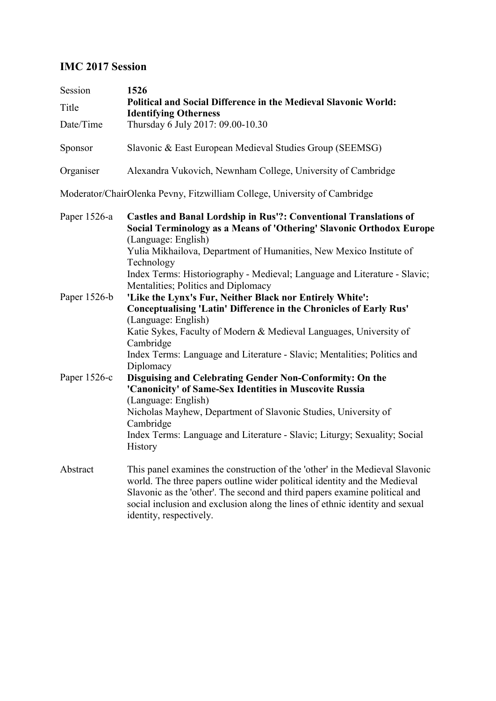## IMC 2017 Session

| Session<br>Title<br>Date/Time | 1526<br>Political and Social Difference in the Medieval Slavonic World:<br><b>Identifying Otherness</b><br>Thursday 6 July 2017: 09.00-10.30                                                                                                                                                                                                                                     |
|-------------------------------|----------------------------------------------------------------------------------------------------------------------------------------------------------------------------------------------------------------------------------------------------------------------------------------------------------------------------------------------------------------------------------|
| Sponsor                       | Slavonic & East European Medieval Studies Group (SEEMSG)                                                                                                                                                                                                                                                                                                                         |
| Organiser                     | Alexandra Vukovich, Newnham College, University of Cambridge                                                                                                                                                                                                                                                                                                                     |
|                               | Moderator/ChairOlenka Pevny, Fitzwilliam College, University of Cambridge                                                                                                                                                                                                                                                                                                        |
| Paper 1526-a                  | <b>Castles and Banal Lordship in Rus'?: Conventional Translations of</b><br>Social Terminology as a Means of 'Othering' Slavonic Orthodox Europe<br>(Language: English)<br>Yulia Mikhailova, Department of Humanities, New Mexico Institute of<br>Technology<br>Index Terms: Historiography - Medieval; Language and Literature - Slavic;<br>Mentalities; Politics and Diplomacy |
| Paper 1526-b                  | 'Like the Lynx's Fur, Neither Black nor Entirely White':<br><b>Conceptualising 'Latin' Difference in the Chronicles of Early Rus'</b><br>(Language: English)<br>Katie Sykes, Faculty of Modern & Medieval Languages, University of<br>Cambridge<br>Index Terms: Language and Literature - Slavic; Mentalities; Politics and<br>Diplomacy                                         |
| Paper 1526-c                  | Disguising and Celebrating Gender Non-Conformity: On the<br>'Canonicity' of Same-Sex Identities in Muscovite Russia<br>(Language: English)<br>Nicholas Mayhew, Department of Slavonic Studies, University of<br>Cambridge<br>Index Terms: Language and Literature - Slavic; Liturgy; Sexuality; Social<br>History                                                                |
| Abstract                      | This panel examines the construction of the 'other' in the Medieval Slavonic<br>world. The three papers outline wider political identity and the Medieval<br>Slavonic as the 'other'. The second and third papers examine political and<br>social inclusion and exclusion along the lines of ethnic identity and sexual<br>identity, respectively.                               |